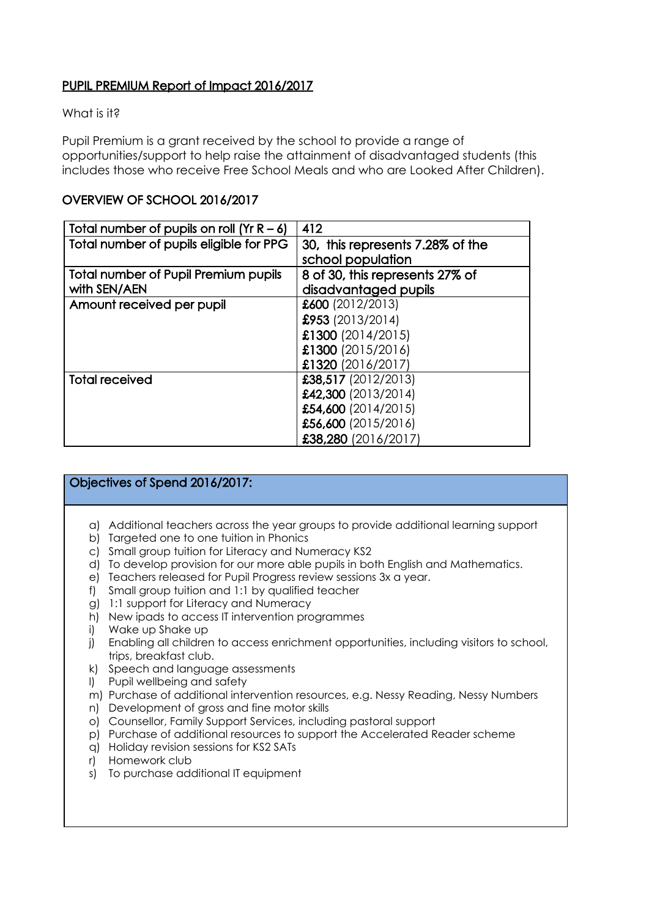## PUPIL PREMIUM Report of Impact 2016/2017

#### What is it?

Pupil Premium is a grant received by the school to provide a range of opportunities/support to help raise the attainment of disadvantaged students (this includes those who receive Free School Meals and who are Looked After Children).

## OVERVIEW OF SCHOOL 2016/2017

| Total number of pupils on roll $(Yr R - 6)$ | 412                              |
|---------------------------------------------|----------------------------------|
| Total number of pupils eligible for PPG     | 30, this represents 7.28% of the |
|                                             | school population                |
| Total number of Pupil Premium pupils        | 8 of 30, this represents 27% of  |
| with SEN/AEN                                | disadvantaged pupils             |
| Amount received per pupil                   | £600 (2012/2013)                 |
|                                             | \$953(2013/2014)                 |
|                                             | £1300 (2014/2015)                |
|                                             | £1300 (2015/2016)                |
|                                             | £1320 (2016/2017)                |
| <b>Total received</b>                       | £38,517 (2012/2013)              |
|                                             | £42,300 (2013/2014)              |
|                                             | £54,600 (2014/2015)              |
|                                             | £56,600 (2015/2016)              |
|                                             | £38,280 (2016/2017)              |

#### Objectives of Spend 2016/2017:

- a) Additional teachers across the year groups to provide additional learning support
- b) Targeted one to one tuition in Phonics
- c) Small group tuition for Literacy and Numeracy KS2
- d) To develop provision for our more able pupils in both English and Mathematics.
- e) Teachers released for Pupil Progress review sessions 3x a year.
- f) Small group tuition and 1:1 by qualified teacher
- g) 1:1 support for Literacy and Numeracy
- h) New ipads to access IT intervention programmes
- i) Wake up Shake up
- j) Enabling all children to access enrichment opportunities, including visitors to school, trips, breakfast club.
- k) Speech and language assessments
- l) Pupil wellbeing and safety
- m) Purchase of additional intervention resources, e.g. Nessy Reading, Nessy Numbers
- n) Development of gross and fine motor skills
- o) Counsellor, Family Support Services, including pastoral support
- p) Purchase of additional resources to support the Accelerated Reader scheme
- q) Holiday revision sessions for KS2 SATs
- r) Homework club
- s) To purchase additional IT equipment